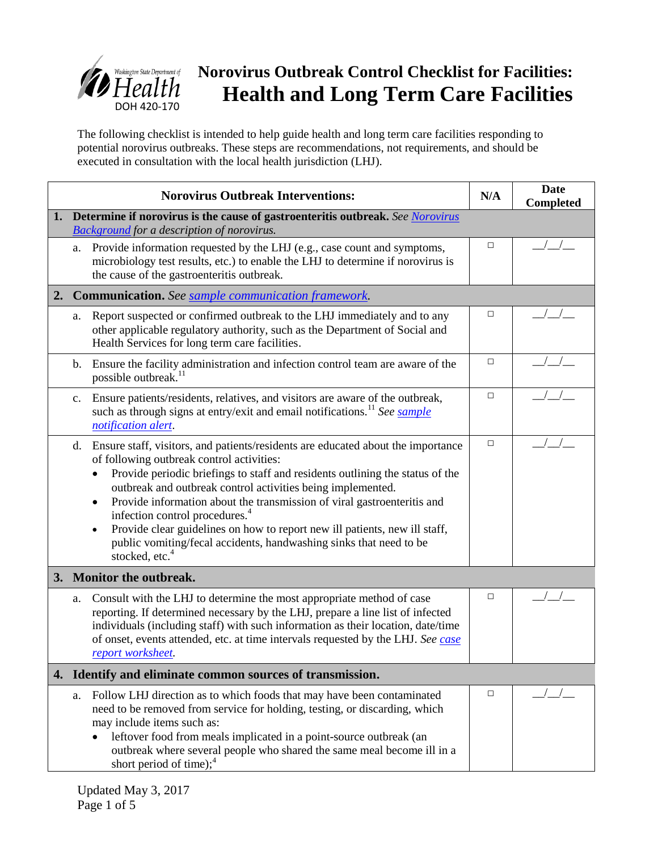

The following checklist is intended to help guide health and long term care facilities responding to potential norovirus outbreaks. These steps are recommendations, not requirements, and should be executed in consultation with the local health jurisdiction (LHJ).

|    | <b>Norovirus Outbreak Interventions:</b>                                                                                                                                                                                                                                                                                                                                                                                                                                                                                                                                                                         | N/A    | <b>Date</b><br><b>Completed</b> |  |  |
|----|------------------------------------------------------------------------------------------------------------------------------------------------------------------------------------------------------------------------------------------------------------------------------------------------------------------------------------------------------------------------------------------------------------------------------------------------------------------------------------------------------------------------------------------------------------------------------------------------------------------|--------|---------------------------------|--|--|
| 1. | Determine if norovirus is the cause of gastroenteritis outbreak. See Norovirus<br><b>Background for a description of norovirus.</b>                                                                                                                                                                                                                                                                                                                                                                                                                                                                              |        |                                 |  |  |
|    | Provide information requested by the LHJ (e.g., case count and symptoms,<br>a.<br>microbiology test results, etc.) to enable the LHJ to determine if norovirus is<br>the cause of the gastroenteritis outbreak.                                                                                                                                                                                                                                                                                                                                                                                                  | $\Box$ |                                 |  |  |
| 2. | <b>Communication.</b> See sample communication framework.                                                                                                                                                                                                                                                                                                                                                                                                                                                                                                                                                        |        |                                 |  |  |
|    | Report suspected or confirmed outbreak to the LHJ immediately and to any<br>a.<br>other applicable regulatory authority, such as the Department of Social and<br>Health Services for long term care facilities.                                                                                                                                                                                                                                                                                                                                                                                                  | $\Box$ |                                 |  |  |
|    | Ensure the facility administration and infection control team are aware of the<br>$\mathbf{b}$ .<br>possible outbreak. <sup>11</sup>                                                                                                                                                                                                                                                                                                                                                                                                                                                                             | $\Box$ |                                 |  |  |
|    | Ensure patients/residents, relatives, and visitors are aware of the outbreak,<br>$\mathbf{c}$ .<br>such as through signs at entry/exit and email notifications. <sup>11</sup> See sample<br>notification alert.                                                                                                                                                                                                                                                                                                                                                                                                  | $\Box$ |                                 |  |  |
|    | Ensure staff, visitors, and patients/residents are educated about the importance<br>d.<br>of following outbreak control activities:<br>Provide periodic briefings to staff and residents outlining the status of the<br>outbreak and outbreak control activities being implemented.<br>Provide information about the transmission of viral gastroenteritis and<br>٠<br>infection control procedures. <sup>4</sup><br>Provide clear guidelines on how to report new ill patients, new ill staff,<br>$\bullet$<br>public vomiting/fecal accidents, handwashing sinks that need to be<br>stocked, etc. <sup>4</sup> | $\Box$ |                                 |  |  |
|    | 3. Monitor the outbreak.                                                                                                                                                                                                                                                                                                                                                                                                                                                                                                                                                                                         |        |                                 |  |  |
|    | Consult with the LHJ to determine the most appropriate method of case<br>a.<br>reporting. If determined necessary by the LHJ, prepare a line list of infected<br>individuals (including staff) with such information as their location, date/time<br>of onset, events attended, etc. at time intervals requested by the LHJ. See case<br>report worksheet.                                                                                                                                                                                                                                                       | □      |                                 |  |  |
|    | 4. Identify and eliminate common sources of transmission.                                                                                                                                                                                                                                                                                                                                                                                                                                                                                                                                                        |        |                                 |  |  |
|    | Follow LHJ direction as to which foods that may have been contaminated<br>a.<br>need to be removed from service for holding, testing, or discarding, which<br>may include items such as:<br>leftover food from meals implicated in a point-source outbreak (an<br>outbreak where several people who shared the same meal become ill in a<br>short period of time); $4$                                                                                                                                                                                                                                           | $\Box$ |                                 |  |  |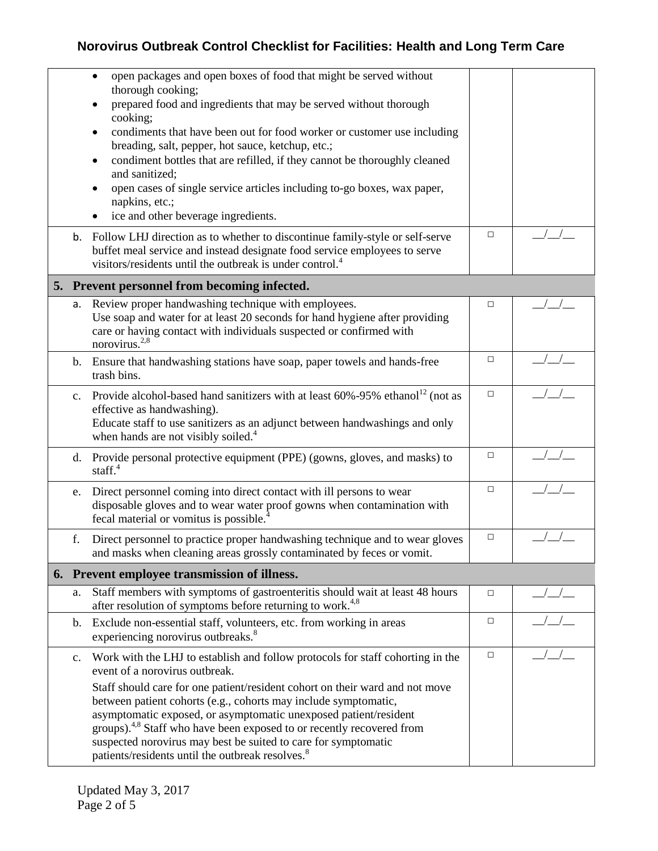|                | open packages and open boxes of food that might be served without<br>٠<br>thorough cooking;<br>prepared food and ingredients that may be served without thorough<br>cooking;<br>condiments that have been out for food worker or customer use including<br>٠<br>breading, salt, pepper, hot sauce, ketchup, etc.;<br>condiment bottles that are refilled, if they cannot be thoroughly cleaned<br>٠<br>and sanitized;<br>open cases of single service articles including to-go boxes, wax paper,<br>٠<br>napkins, etc.;<br>ice and other beverage ingredients. |        |  |
|----------------|----------------------------------------------------------------------------------------------------------------------------------------------------------------------------------------------------------------------------------------------------------------------------------------------------------------------------------------------------------------------------------------------------------------------------------------------------------------------------------------------------------------------------------------------------------------|--------|--|
| b.             | Follow LHJ direction as to whether to discontinue family-style or self-serve<br>buffet meal service and instead designate food service employees to serve<br>visitors/residents until the outbreak is under control. <sup>4</sup>                                                                                                                                                                                                                                                                                                                              | $\Box$ |  |
|                | 5. Prevent personnel from becoming infected.                                                                                                                                                                                                                                                                                                                                                                                                                                                                                                                   |        |  |
| а.             | Review proper handwashing technique with employees.<br>Use soap and water for at least 20 seconds for hand hygiene after providing<br>care or having contact with individuals suspected or confirmed with<br>norovirus. <sup>2,8</sup>                                                                                                                                                                                                                                                                                                                         | $\Box$ |  |
| b.             | Ensure that handwashing stations have soap, paper towels and hands-free<br>trash bins.                                                                                                                                                                                                                                                                                                                                                                                                                                                                         | □      |  |
| $c_{\cdot}$    | Provide alcohol-based hand sanitizers with at least $60\% -95\%$ ethanol <sup>12</sup> (not as<br>effective as handwashing).<br>Educate staff to use sanitizers as an adjunct between handwashings and only<br>when hands are not visibly soiled. <sup>4</sup>                                                                                                                                                                                                                                                                                                 | $\Box$ |  |
| d.             | Provide personal protective equipment (PPE) (gowns, gloves, and masks) to<br>staff. $4$                                                                                                                                                                                                                                                                                                                                                                                                                                                                        | $\Box$ |  |
| e.             | Direct personnel coming into direct contact with ill persons to wear<br>disposable gloves and to wear water proof gowns when contamination with<br>fecal material or vomitus is possible. <sup>4</sup>                                                                                                                                                                                                                                                                                                                                                         | $\Box$ |  |
| f.             | Direct personnel to practice proper handwashing technique and to wear gloves<br>and masks when cleaning areas grossly contaminated by feces or vomit.                                                                                                                                                                                                                                                                                                                                                                                                          | $\Box$ |  |
|                | 6. Prevent employee transmission of illness.                                                                                                                                                                                                                                                                                                                                                                                                                                                                                                                   |        |  |
| a.             | Staff members with symptoms of gastroenteritis should wait at least 48 hours<br>after resolution of symptoms before returning to work. <sup>4,8</sup>                                                                                                                                                                                                                                                                                                                                                                                                          | $\Box$ |  |
| b.             | Exclude non-essential staff, volunteers, etc. from working in areas<br>experiencing norovirus outbreaks. <sup>8</sup>                                                                                                                                                                                                                                                                                                                                                                                                                                          | $\Box$ |  |
| $\mathbf{c}$ . | Work with the LHJ to establish and follow protocols for staff cohorting in the<br>event of a norovirus outbreak.<br>Staff should care for one patient/resident cohort on their ward and not move<br>between patient cohorts (e.g., cohorts may include symptomatic,<br>asymptomatic exposed, or asymptomatic unexposed patient/resident<br>groups). <sup>4,8</sup> Staff who have been exposed to or recently recovered from                                                                                                                                   | $\Box$ |  |
|                | suspected norovirus may best be suited to care for symptomatic<br>patients/residents until the outbreak resolves. <sup>8</sup>                                                                                                                                                                                                                                                                                                                                                                                                                                 |        |  |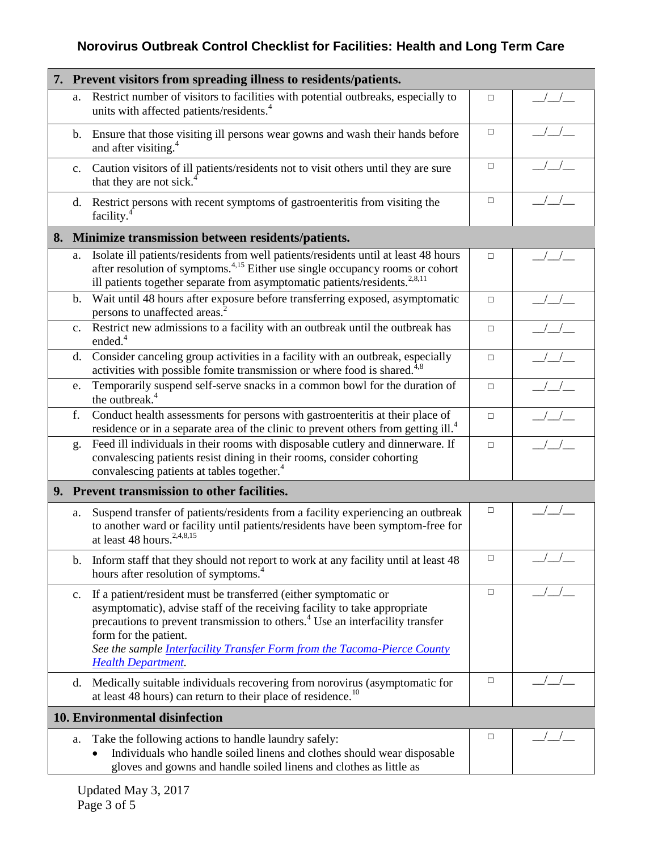|                | 7. Prevent visitors from spreading illness to residents/patients.                                                                                                                                                                                                                                                                                                                   |        |  |  |
|----------------|-------------------------------------------------------------------------------------------------------------------------------------------------------------------------------------------------------------------------------------------------------------------------------------------------------------------------------------------------------------------------------------|--------|--|--|
| a.             | Restrict number of visitors to facilities with potential outbreaks, especially to<br>units with affected patients/residents. <sup>4</sup>                                                                                                                                                                                                                                           | $\Box$ |  |  |
| b.             | Ensure that those visiting ill persons wear gowns and wash their hands before<br>and after visiting. <sup>4</sup>                                                                                                                                                                                                                                                                   | $\Box$ |  |  |
| $\mathbf{c}$ . | Caution visitors of ill patients/residents not to visit others until they are sure<br>that they are not sick. <sup>4</sup>                                                                                                                                                                                                                                                          | $\Box$ |  |  |
| $d_{\cdot}$    | Restrict persons with recent symptoms of gastroenteritis from visiting the<br>facility. <sup>4</sup>                                                                                                                                                                                                                                                                                | $\Box$ |  |  |
|                | 8. Minimize transmission between residents/patients.                                                                                                                                                                                                                                                                                                                                |        |  |  |
| a.             | Isolate ill patients/residents from well patients/residents until at least 48 hours<br>after resolution of symptoms. <sup>4,15</sup> Either use single occupancy rooms or cohort<br>ill patients together separate from asymptomatic patients/residents. <sup>2,8,11</sup>                                                                                                          | $\Box$ |  |  |
| $\mathbf{b}$ . | Wait until 48 hours after exposure before transferring exposed, asymptomatic<br>persons to unaffected areas. <sup>2</sup>                                                                                                                                                                                                                                                           | $\Box$ |  |  |
| c.             | Restrict new admissions to a facility with an outbreak until the outbreak has<br>ended. $4$                                                                                                                                                                                                                                                                                         | $\Box$ |  |  |
| d.             | Consider canceling group activities in a facility with an outbreak, especially<br>activities with possible fomite transmission or where food is shared. <sup>4,8</sup>                                                                                                                                                                                                              | $\Box$ |  |  |
| e.             | Temporarily suspend self-serve snacks in a common bowl for the duration of<br>the outbreak. <sup>4</sup>                                                                                                                                                                                                                                                                            | $\Box$ |  |  |
| f.             | Conduct health assessments for persons with gastroenteritis at their place of<br>residence or in a separate area of the clinic to prevent others from getting ill. <sup>4</sup>                                                                                                                                                                                                     | $\Box$ |  |  |
| g.             | Feed ill individuals in their rooms with disposable cutlery and dinnerware. If<br>convalescing patients resist dining in their rooms, consider cohorting<br>convalescing patients at tables together. <sup>4</sup>                                                                                                                                                                  | $\Box$ |  |  |
|                | 9. Prevent transmission to other facilities.                                                                                                                                                                                                                                                                                                                                        |        |  |  |
| a.             | Suspend transfer of patients/residents from a facility experiencing an outbreak<br>to another ward or facility until patients/residents have been symptom-free for<br>at least 48 hours. <sup>2,4,8,15</sup>                                                                                                                                                                        | $\Box$ |  |  |
| $\mathbf{b}$ . | Inform staff that they should not report to work at any facility until at least 48<br>hours after resolution of symptoms. <sup>4</sup>                                                                                                                                                                                                                                              | $\Box$ |  |  |
| c.             | If a patient/resident must be transferred (either symptomatic or<br>asymptomatic), advise staff of the receiving facility to take appropriate<br>precautions to prevent transmission to others. <sup>4</sup> Use an interfacility transfer<br>form for the patient.<br>See the sample <i>Interfacility Transfer Form from the Tacoma-Pierce County</i><br><b>Health Department.</b> | □      |  |  |
| d.             | Medically suitable individuals recovering from norovirus (asymptomatic for<br>at least 48 hours) can return to their place of residence. <sup>10</sup>                                                                                                                                                                                                                              | $\Box$ |  |  |
|                | 10. Environmental disinfection                                                                                                                                                                                                                                                                                                                                                      |        |  |  |
| a.             | Take the following actions to handle laundry safely:<br>Individuals who handle soiled linens and clothes should wear disposable<br>gloves and gowns and handle soiled linens and clothes as little as                                                                                                                                                                               | $\Box$ |  |  |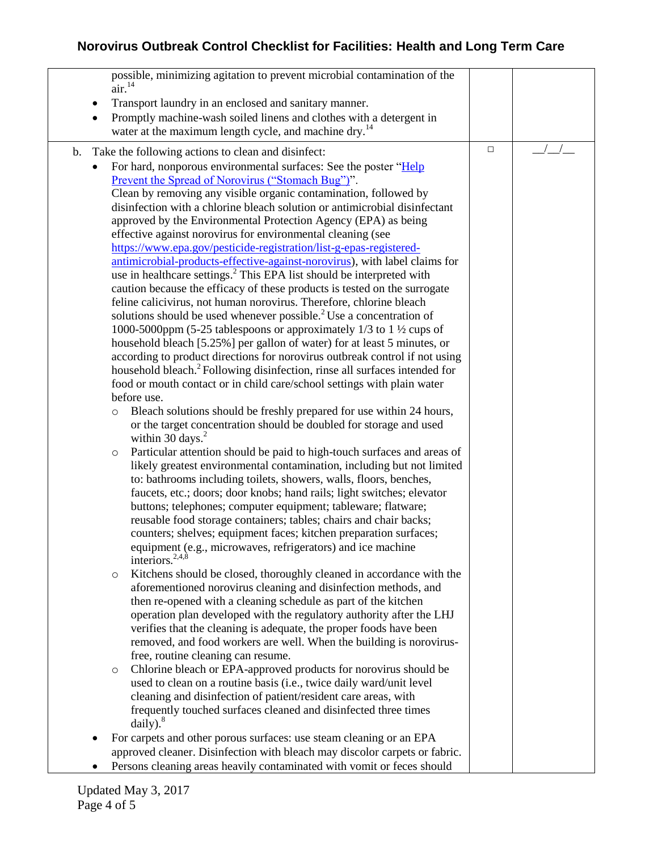possible, minimizing agitation to prevent microbial contamination of the  $air<sup>14</sup>$  Transport laundry in an enclosed and sanitary manner. • Promptly machine-wash soiled linens and clothes with a detergent in water at the maximum length cycle, and machine dry.<sup>14</sup> b. Take the following actions to clean and disinfect: For hard, nonporous environmental surfaces: See the poster ["Help](http://www.disinfect-for-health.org/resources)  [Prevent the Spread of Norovirus \("Stomach Bug"\)"](http://www.disinfect-for-health.org/resources). Clean by removing any visible organic contamination, followed by disinfection with a chlorine bleach solution or antimicrobial disinfectant approved by the Environmental Protection Agency (EPA) as being effective against norovirus for environmental cleaning (see [https://www.epa.gov/pesticide-registration/list-g-epas-registered](https://www.epa.gov/pesticide-registration/list-g-epas-registered-antimicrobial-products-effective-against-norovirus)[antimicrobial-products-effective-against-norovirus\)](https://www.epa.gov/pesticide-registration/list-g-epas-registered-antimicrobial-products-effective-against-norovirus), with label claims for use in healthcare settings.<sup>2</sup> This EPA list should be interpreted with caution because the efficacy of these products is tested on the surrogate feline calicivirus, not human norovirus. Therefore, chlorine bleach solutions should be used whenever possible. $^{2}$  Use a concentration of 1000-5000ppm (5-25 tablespoons or approximately 1/3 to 1 ½ cups of household bleach [5.25%] per gallon of water) for at least 5 minutes, or according to product directions for norovirus outbreak control if not using household bleach.<sup>2</sup> Following disinfection, rinse all surfaces intended for food or mouth contact or in child care/school settings with plain water before use. o Bleach solutions should be freshly prepared for use within 24 hours, or the target concentration should be doubled for storage and used within 30 days. $2$ o Particular attention should be paid to high-touch surfaces and areas of likely greatest environmental contamination, including but not limited to: bathrooms including toilets, showers, walls, floors, benches, faucets, etc.; doors; door knobs; hand rails; light switches; elevator buttons; telephones; computer equipment; tableware; flatware; reusable food storage containers; tables; chairs and chair backs; counters; shelves; equipment faces; kitchen preparation surfaces; equipment (e.g., microwaves, refrigerators) and ice machine interiors. $2,4,8$ o Kitchens should be closed, thoroughly cleaned in accordance with the aforementioned norovirus cleaning and disinfection methods, and then re-opened with a cleaning schedule as part of the kitchen operation plan developed with the regulatory authority after the LHJ verifies that the cleaning is adequate, the proper foods have been removed, and food workers are well. When the building is norovirusfree, routine cleaning can resume. o Chlorine bleach or EPA-approved products for norovirus should be used to clean on a routine basis (i.e., twice daily ward/unit level cleaning and disinfection of patient/resident care areas, with frequently touched surfaces cleaned and disinfected three times  $daily$ ).<sup>8</sup> • For carpets and other porous surfaces: use steam cleaning or an EPA approved cleaner. Disinfection with bleach may discolor carpets or fabric. • Persons cleaning areas heavily contaminated with vomit or feces should □ *\_\_\_/\_\_/\_\_\_*